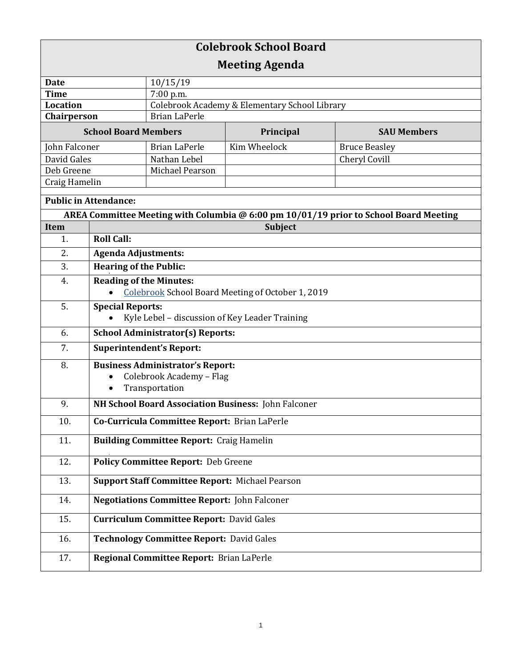| <b>Colebrook School Board</b> |                                                                           |                                               |                                                   |                                                                                       |  |  |
|-------------------------------|---------------------------------------------------------------------------|-----------------------------------------------|---------------------------------------------------|---------------------------------------------------------------------------------------|--|--|
| <b>Meeting Agenda</b>         |                                                                           |                                               |                                                   |                                                                                       |  |  |
| <b>Date</b>                   |                                                                           | 10/15/19                                      |                                                   |                                                                                       |  |  |
| <b>Time</b>                   |                                                                           | 7:00 p.m.                                     |                                                   |                                                                                       |  |  |
| <b>Location</b>               |                                                                           | Colebrook Academy & Elementary School Library |                                                   |                                                                                       |  |  |
| Chairperson                   |                                                                           | <b>Brian LaPerle</b>                          |                                                   |                                                                                       |  |  |
| <b>School Board Members</b>   |                                                                           |                                               | Principal                                         | <b>SAU Members</b>                                                                    |  |  |
| John Falconer                 |                                                                           | <b>Brian LaPerle</b>                          | Kim Wheelock                                      | <b>Bruce Beasley</b>                                                                  |  |  |
| David Gales                   |                                                                           | Nathan Lebel                                  |                                                   | Cheryl Covill                                                                         |  |  |
| Deb Greene                    |                                                                           | Michael Pearson                               |                                                   |                                                                                       |  |  |
| Craig Hamelin                 |                                                                           |                                               |                                                   |                                                                                       |  |  |
| <b>Public in Attendance:</b>  |                                                                           |                                               |                                                   |                                                                                       |  |  |
|                               |                                                                           |                                               |                                                   | AREA Committee Meeting with Columbia @ 6:00 pm 10/01/19 prior to School Board Meeting |  |  |
| <b>Item</b>                   |                                                                           | Subject                                       |                                                   |                                                                                       |  |  |
| 1.                            | <b>Roll Call:</b>                                                         |                                               |                                                   |                                                                                       |  |  |
| 2.                            | <b>Agenda Adjustments:</b>                                                |                                               |                                                   |                                                                                       |  |  |
| 3.                            | <b>Hearing of the Public:</b>                                             |                                               |                                                   |                                                                                       |  |  |
| 4.                            | <b>Reading of the Minutes:</b>                                            |                                               |                                                   |                                                                                       |  |  |
|                               |                                                                           |                                               | Colebrook School Board Meeting of October 1, 2019 |                                                                                       |  |  |
| 5.                            | <b>Special Reports:</b><br>Kyle Lebel - discussion of Key Leader Training |                                               |                                                   |                                                                                       |  |  |
| 6.                            | <b>School Administrator(s) Reports:</b>                                   |                                               |                                                   |                                                                                       |  |  |
| 7.                            | <b>Superintendent's Report:</b>                                           |                                               |                                                   |                                                                                       |  |  |
| 8.                            | <b>Business Administrator's Report:</b>                                   |                                               |                                                   |                                                                                       |  |  |
|                               | Colebrook Academy - Flag<br>$\bullet$                                     |                                               |                                                   |                                                                                       |  |  |
|                               | $\bullet$                                                                 | Transportation                                |                                                   |                                                                                       |  |  |
| 9.                            | NH School Board Association Business: John Falconer                       |                                               |                                                   |                                                                                       |  |  |
| 10.                           | Co-Curricula Committee Report: Brian LaPerle                              |                                               |                                                   |                                                                                       |  |  |
| 11.                           | <b>Building Committee Report: Craig Hamelin</b>                           |                                               |                                                   |                                                                                       |  |  |
| 12.                           | <b>Policy Committee Report: Deb Greene</b>                                |                                               |                                                   |                                                                                       |  |  |
| 13.                           | <b>Support Staff Committee Report: Michael Pearson</b>                    |                                               |                                                   |                                                                                       |  |  |
| 14.                           | <b>Negotiations Committee Report: John Falconer</b>                       |                                               |                                                   |                                                                                       |  |  |
| 15.                           | <b>Curriculum Committee Report: David Gales</b>                           |                                               |                                                   |                                                                                       |  |  |
| 16.                           | <b>Technology Committee Report: David Gales</b>                           |                                               |                                                   |                                                                                       |  |  |
| 17.                           |                                                                           | Regional Committee Report: Brian LaPerle      |                                                   |                                                                                       |  |  |